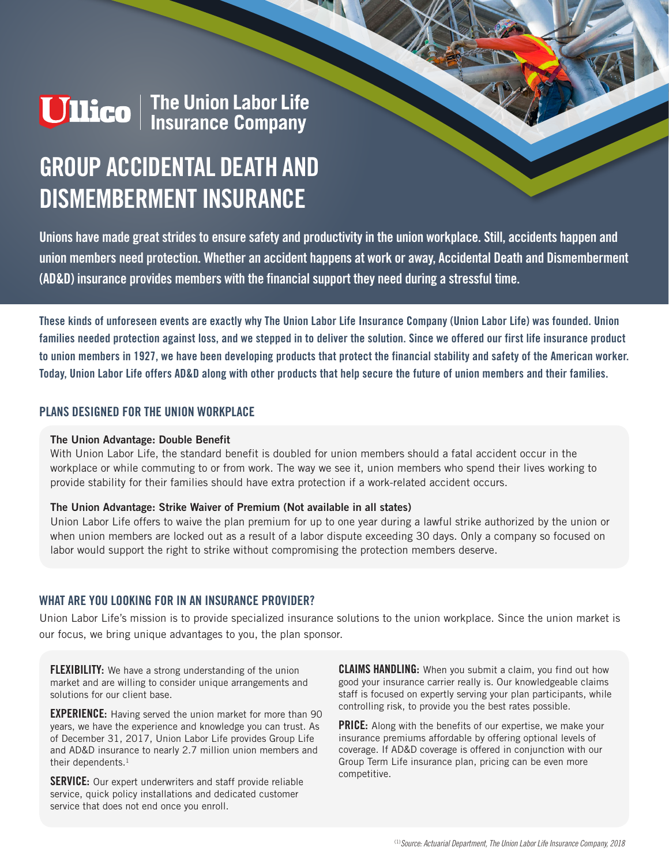# **Ullico** | The Union Labor Life<br>| Insurance Company

# **GROUP ACCIDENTAL DEATH AND DISMEMBERMENT INSURANCE**

**Unions have made great strides to ensure safety and productivity in the union workplace. Still, accidents happen and union members need protection. Whether an accident happens at work or away, Accidental Death and Dismemberment (AD&D) insurance provides members with the financial support they need during a stressful time.**

**These kinds of unforeseen events are exactly why The Union Labor Life Insurance Company (Union Labor Life) was founded. Union families needed protection against loss, and we stepped in to deliver the solution. Since we offered our first life insurance product to union members in 1927, we have been developing products that protect the financial stability and safety of the American worker. Today, Union Labor Life offers AD&D along with other products that help secure the future of union members and their families.**

#### **PLANS DESIGNED FOR THE UNION WORKPLACE**

#### **The Union Advantage: Double Benefit**

With Union Labor Life, the standard benefit is doubled for union members should a fatal accident occur in the workplace or while commuting to or from work. The way we see it, union members who spend their lives working to provide stability for their families should have extra protection if a work-related accident occurs.

#### **The Union Advantage: Strike Waiver of Premium (Not available in all states)**

Union Labor Life offers to waive the plan premium for up to one year during a lawful strike authorized by the union or when union members are locked out as a result of a labor dispute exceeding 30 days. Only a company so focused on labor would support the right to strike without compromising the protection members deserve.

#### **WHAT ARE YOU LOOKING FOR IN AN INSURANCE PROVIDER?**

Union Labor Life's mission is to provide specialized insurance solutions to the union workplace. Since the union market is our focus, we bring unique advantages to you, the plan sponsor.

**FLEXIBILITY:** We have a strong understanding of the union market and are willing to consider unique arrangements and solutions for our client base.

**EXPERIENCE:** Having served the union market for more than 90 years, we have the experience and knowledge you can trust. As of December 31, 2017, Union Labor Life provides Group Life and AD&D insurance to nearly 2.7 million union members and their dependents.<sup>1</sup>

**SERVICE:** Our expert underwriters and staff provide reliable service, quick policy installations and dedicated customer service that does not end once you enroll.

**CLAIMS HANDLING:** When you submit a claim, you find out how good your insurance carrier really is. Our knowledgeable claims staff is focused on expertly serving your plan participants, while controlling risk, to provide you the best rates possible.

**PRICE:** Along with the benefits of our expertise, we make your insurance premiums affordable by offering optional levels of coverage. If AD&D coverage is offered in conjunction with our Group Term Life insurance plan, pricing can be even more competitive.